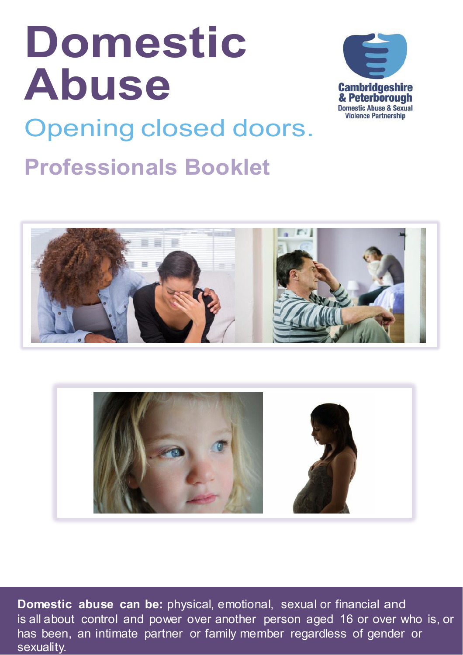# **Domestic Abuse**



Opening closed doors: **Professionals Booklet**





**Domestic abuse can be:** physical, emotional, sexual or financial and is all about control and power over another person aged 16 or over who is, or has been, an intimate partner or family member regardless of gender or sexuality.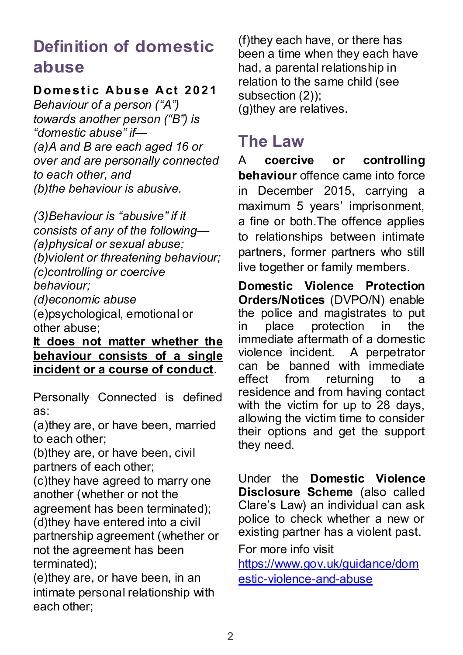#### **Definition of domestic abuse**

#### **Domestic Abuse Act 2021**

*Behaviour of a person ("A") towards another person ("B") is "domestic abuse" if— (a)A and B are each aged 16 or over and are personally connected to each other, and (b)the behaviour is abusive.*

*(3)Behaviour is "abusive" if it consists of any of the following— (a)physical or sexual abuse; (b)violent or threatening behaviour; (c)controlling or coercive behaviour;* 

*(d)economic abuse* 

(e)psychological, emotional or other abuse;

**It does not matter whether the behaviour consists of a single incident or a course of conduct**.

Personally Connected is defined as:

(a)they are, or have been, married to each other;

(b)they are, or have been, civil partners of each other;

(c)they have agreed to marry one another (whether or not the agreement has been terminated); (d)they have entered into a civil partnership agreement (whether or not the agreement has been terminated);

(e)they are, or have been, in an intimate personal relationship with each other;

(f)they each have, or there has been a time when they each have had, a parental relationship in relation to the same child (see subsection (2)); (g)they are relatives.

#### **The Law**

A **coercive or controlling behaviour** offence came into force in December 2015, carrying a maximum 5 years' imprisonment, a fine or both.The offence applies to relationships between intimate partners, former partners who still live together or family members.

**Domestic Violence Protection Orders/Notices** (DVPO/N) enable the police and magistrates to put in place protection in the immediate aftermath of a domestic<br>violence incident. A perpetrator violence incident. can be banned with immediate<br>effect from returning to a effect from returning to a residence and from having contact with the victim for up to 28 days, allowing the victim time to consider their options and get the support they need.

Under the **Domestic Violence Disclosure Scheme** (also called Clare's Law) an individual can ask police to check whether a new or existing partner has a violent past.

For more info visit

[https://www.gov.uk/guidance/dom](https://www.gov.uk/guidance/domestic-violence-and-abuse) [estic-violence-and-abuse](https://www.gov.uk/guidance/domestic-violence-and-abuse)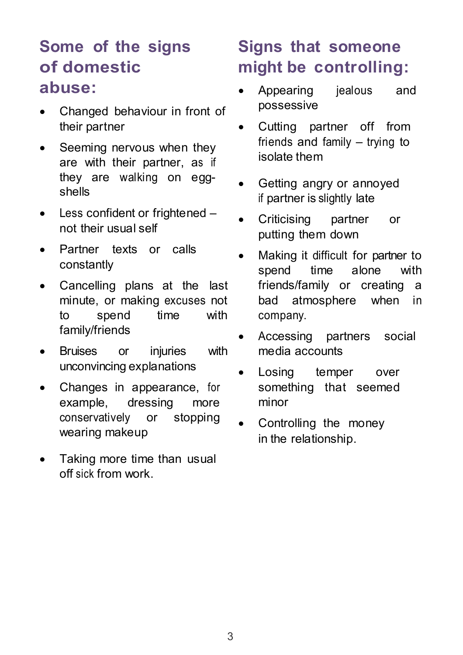#### **Some of the signs of domestic abuse:**

- Changed behaviour in front of their partner
- Seeming nervous when they are with their partner, as if they are walking on eggshells
- Less confident or frightened not their usual self
- Partner texts or calls constantly
- Cancelling plans at the last minute, or making excuses not to spend time with family/friends
- Bruises or injuries with unconvincing explanations
- Changes in appearance, for example, dressing more conservatively or stopping wearing makeup
- Taking more time than usual off sick from work.

### **Signs that someone might be controlling:**

- Appearing jealous and possessive
- Cutting partner off from friends and family – trying to isolate them
- Getting angry or annoyed if partner is slightly late
- Criticising partner or putting them down
- Making it difficult for partner to spend time alone with friends/family or creating a bad atmosphere when in company.
- Accessing partners social media accounts
- Losing temper over something that seemed minor
- Controlling the money in the relationship.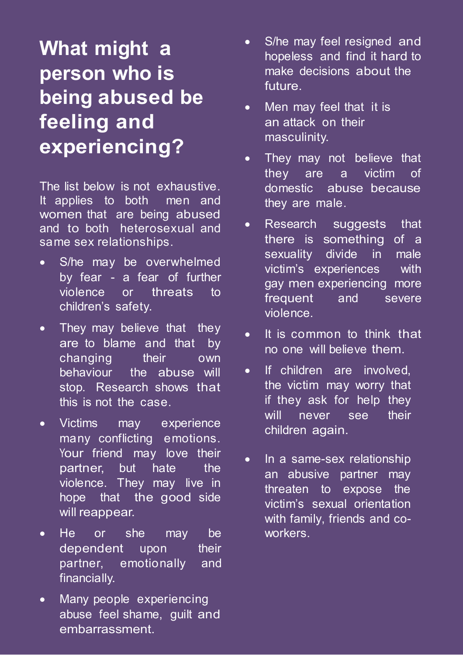### **What might a person who is being abused be feeling and experiencing?**

The list below is not exhaustive. It applies to both men and women that are being abused and to both heterosexual and same sex relationships.

- S/he may be overwhelmed by fear - a fear of further violence or threats to children's safety.
- They may believe that they are to blame and that by changing their own behaviour the abuse will stop. Research shows that this is not the case.
- Victims may experience many conflicting emotions. Your friend may love their partner, but hate the violence. They may live in hope that the good side will reappear.
- He or she may be dependent upon their partner, emotionally and financially.
- Many people experiencing abuse feel shame, guilt and embarrassment.
- S/he may feel resigned and hopeless and find it hard to make decisions about the future.
- Men may feel that it is an attack on their masculinity.
- They may not believe that they are a victim of domestic abuse because they are male.
- Research suggests that there is something of a sexuality divide in male victim's experiences with gay men experiencing more frequent and severe violence.
- It is common to think that no one will believe them.
- If children are involved. the victim may worry that if they ask for help they will never see their children again.
- In a same-sex relationship an abusive partner may threaten to expose the victim's sexual orientation with family, friends and coworkers.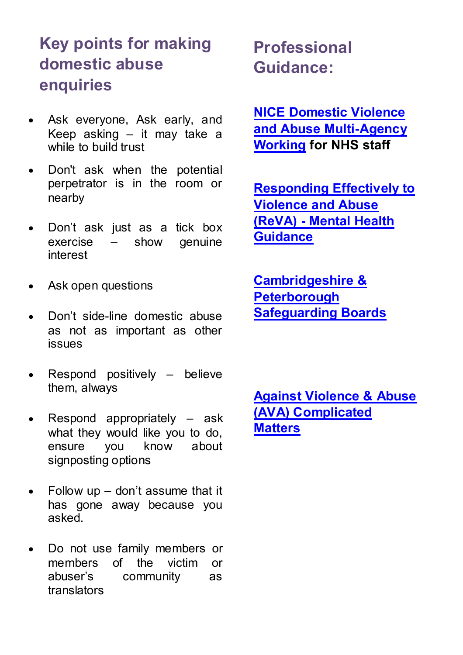#### **Key points for making domestic abuse enquiries**

- Ask everyone, Ask early, and Keep asking – it may take a while to build trust
- Don't ask when the potential perpetrator is in the room or nearby
- Don't ask just as a tick box exercise – show genuine interest
- Ask open questions
- Don't side-line domestic abuse as not as important as other issues
- Respond positively believe them, always
- Respond appropriately ask what they would like you to do, ensure you know about signposting options
- $\bullet$  Follow up don't assume that it has gone away because you asked.
- Do not use family members or members of the victim or abuser's community as translators

 **Professional Guidance:** 

**[NICE Domestic Violence](https://www.nice.org.uk/Guidance/PH50)  [and Abuse Multi-Agency](https://www.nice.org.uk/Guidance/PH50)  [Working](https://www.nice.org.uk/Guidance/PH50) for NHS staff**

**[Responding Effectively to](http://www.natcen.ac.uk/our-research/research/responding-effectively-to-long-term-consequences-of-violence-and-abuse-(reva)/)  [Violence and Abuse](http://www.natcen.ac.uk/our-research/research/responding-effectively-to-long-term-consequences-of-violence-and-abuse-(reva)/)  [\(ReVA\) - Mental Health](http://www.natcen.ac.uk/our-research/research/responding-effectively-to-long-term-consequences-of-violence-and-abuse-(reva)/)  [Guidance](http://www.natcen.ac.uk/our-research/research/responding-effectively-to-long-term-consequences-of-violence-and-abuse-(reva)/)**

**[Cambridgeshire &](https://www.safeguardingcambspeterborough.org.uk/)  [Peterborough](https://www.safeguardingcambspeterborough.org.uk/)  [Safeguarding Boards](https://www.safeguardingcambspeterborough.org.uk/)** 

**[Against Violence & Abuse](http://elearning.avaproject.org.uk/)  [\(AVA\) Complicated](http://elearning.avaproject.org.uk/)  [Matters](http://elearning.avaproject.org.uk/)**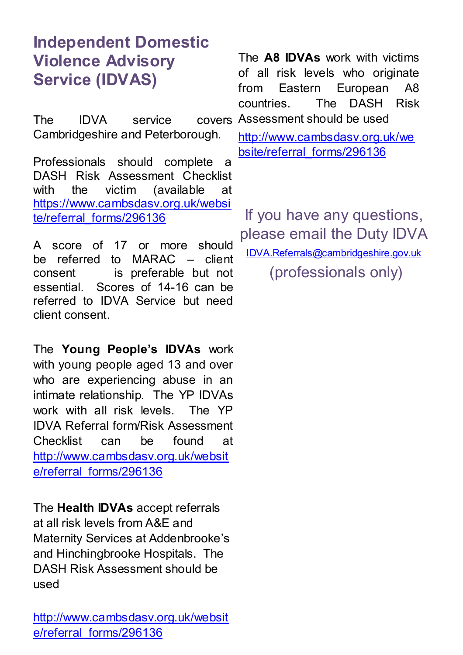#### **Independent Domestic Violence Advisory Service (IDVAS)**

The IDVA service covers Cambridgeshire and Peterborough.

Professionals should complete a DASH Risk Assessment Checklist with the victim (available at [https://www.cambsdasv.org.uk/websi](https://www.cambsdasv.org.uk/website/referral_forms/296136) [te/referral\\_forms/296136](https://www.cambsdasv.org.uk/website/referral_forms/296136)

A score of 17 or more should be referred to MARAC – client consent is preferable but not essential. Scores of 14-16 can be referred to IDVA Service but need client consent.

The **Young People's IDVAs** work with young people aged 13 and over who are experiencing abuse in an intimate relationship. The YP IDVAs work with all risk levels. The YP IDVA Referral form/Risk Assessment Checklist can be found at [http://www.cambsdasv.org.uk/websit](http://www.cambsdasv.org.uk/website/referral_forms/296136) e/referral\_forms/296136

The **Health IDVAs** accept referrals at all risk levels from A&E and Maternity Services at Addenbrooke's and Hinchingbrooke Hospitals. The DASH Risk Assessment should be used

The **A8 IDVAs** work with victims of all risk levels who originate from Eastern European A8 countries. The DASH Risk Assessment should be used

[http://www.cambsdasv.org.uk/we](http://www.cambsdasv.org.uk/website/referral_forms/296136) [bsite/referral\\_forms/296136](http://www.cambsdasv.org.uk/website/referral_forms/296136)

If you have any questions, please email the Duty IDVA [IDVA.Referrals@cambridgeshire.gov.uk](mailto:IDVA.Referrals@cambridgeshire.gov.uk)  (professionals only)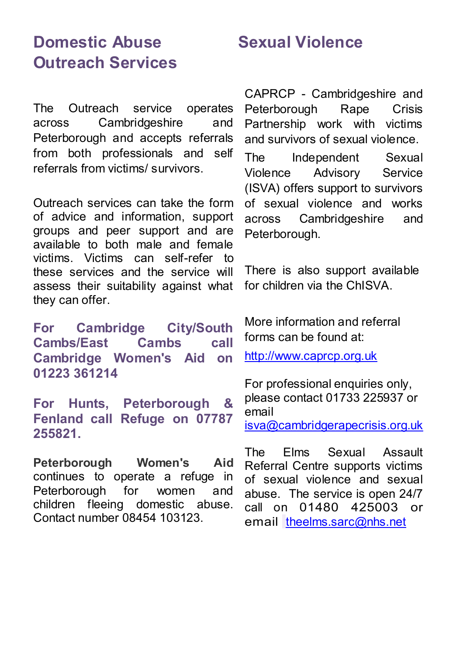#### **Domestic Abuse Outreach Services**

The Outreach service operates across Cambridgeshire and Peterborough and accepts referrals from both professionals and self referrals from victims/ survivors.

Outreach services can take the form of advice and information, support groups and peer support and are available to both male and female victims. Victims can self-refer to these services and the service will assess their suitability against what they can offer.

**For Cambridge City/South Cambs/East Cambs call Cambridge Women's Aid on 01223 361214** 

**For Hunts, Peterborough & Fenland call Refuge on 07787 255821.**

**Peterborough Women's Aid** continues to operate a refuge in Peterborough for women and children fleeing domestic abuse. Contact number 08454 103123.

#### **Sexual Violence**

CAPRCP - Cambridgeshire and Peterborough Rape Crisis Partnership work with victims and survivors of sexual violence.

The Independent Sexual Violence Advisory Service (ISVA) offers support to survivors of sexual violence and works across Cambridgeshire and Peterborough.

There is also support available for children via the ChISVA.

More information and referral forms can be found at:

[http://www.caprcp.org.uk](http://www.caprcp.org.uk/)

For professional enquiries only, please contact 01733 225937 or email [isva@cambridgerapecrisis.org.uk](mailto:isva@cambridgerapecrisis.org.uk)

The Elms Sexual Assault Referral Centre supports victims of sexual violence and sexual abuse. The service is open 24/7 call on 01480 425003 or email [theelms.sarc@nhs.net](mailto:theelms.sarc@nhs.net)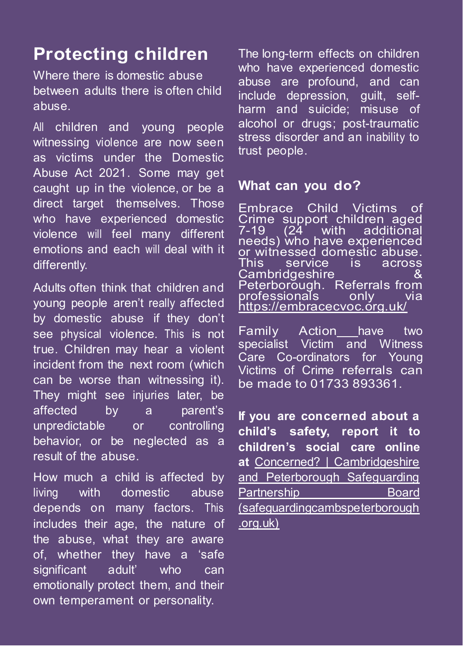### **Protecting children**

Where there is domestic abuse between adults there is often child abuse.

All children and young people witnessing violence are now seen as victims under the Domestic Abuse Act 2021. Some may get caught up in the violence, or be a direct target themselves. Those who have experienced domestic violence will feel many different emotions and each will deal with it differently.

Adults often think that children and young people aren't really affected by domestic abuse if they don't see physical violence. This is not true. Children may hear a violent incident from the next room (which can be worse than witnessing it). They might see injuries later, be affected by a parent's unpredictable or controlling behavior, or be neglected as a result of the abuse.

How much a child is affected by living with domestic abuse depends on many factors. This includes their age, the nature of the abuse, what they are aware of, whether they have a 'safe significant adult' who can emotionally protect them, and their own temperament or personality.

The long-term effects on children who have experienced domestic abuse are profound, and can include depression, guilt, selfharm and suicide; misuse of alcohol or drugs; post-traumatic stress disorder and an inability to trust people.

#### **What can you do?**

Embrace Child Victims Crime support children aged  $7-19$   $(24$  with additional needs) who have experienced or witnessed domestic abuse.<br>This service is across service **Cambridgeshire** Peterborough. Referrals from<br>professionals only via <u>pr</u>ofessionals <https://embracecvoc.org.uk/>

Family Action have two specialist Victim and Witness Care Co-ordinators for Young Victims of Crime referrals can be made to 01733 893361.

**If you are concerned about a child's safety, report it to children's social care online at** [Concerned? | Cambridgeshire](https://safeguardingcambspeterborough.org.uk/concerned/)  [and Peterborough Safeguarding](https://safeguardingcambspeterborough.org.uk/concerned/)  Partnership **Board** [\(safeguardingcambspeterborough](https://safeguardingcambspeterborough.org.uk/concerned/) [.org.uk\)](https://safeguardingcambspeterborough.org.uk/concerned/)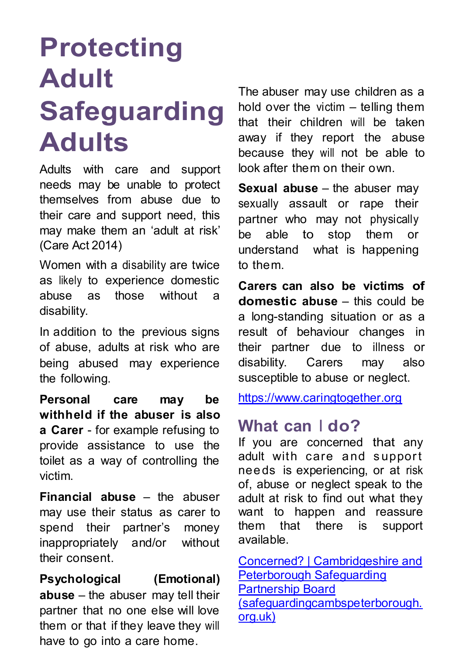# **Protecting Adult Safeguarding Adults**

Adults with care and support needs may be unable to protect themselves from abuse due to their care and support need, this may make them an 'adult at risk' (Care Act 2014)

Women with a disability are twice as likely to experience domestic abuse as those without a disability.

In addition to the previous signs of abuse, adults at risk who are being abused may experience the following.

**Personal care may be withheld if the abuser is also a Carer** - for example refusing to provide assistance to use the toilet as a way of controlling the victim.

**Financial abuse** – the abuser may use their status as carer to spend their partner's money inappropriately and/or without their consent.

**Psychological (Emotional) abuse** – the abuser may tell their partner that no one else will love them or that if they leave they will have to go into a care home.

The abuser may use children as a hold over the victim – telling them that their children will be taken away if they report the abuse because they will not be able to look after them on their own.

**Sexual abuse** – the abuser may sexually assault or rape their partner who may not physically be able to stop them or understand what is happening to them.

**Carers can also be victims of domestic abuse** – this could be a long-standing situation or as a result of behaviour changes in their partner due to illness or disability. Carers may also susceptible to abuse or neglect.

[https://www.caringtogether.org](https://www.caringtogether.org/)

#### **What can I do?**

If you are concerned that any adult with care and support needs is experiencing, or at risk of, abuse or neglect speak to the adult at risk to find out what they want to happen and reassure them that there is support available.

[Concerned? | Cambridgeshire and](https://safeguardingcambspeterborough.org.uk/concerned/)  [Peterborough Safeguarding](https://safeguardingcambspeterborough.org.uk/concerned/)  [Partnership Board](https://safeguardingcambspeterborough.org.uk/concerned/)  [\(safeguardingcambspeterborough.](https://safeguardingcambspeterborough.org.uk/concerned/) [org.uk\)](https://safeguardingcambspeterborough.org.uk/concerned/)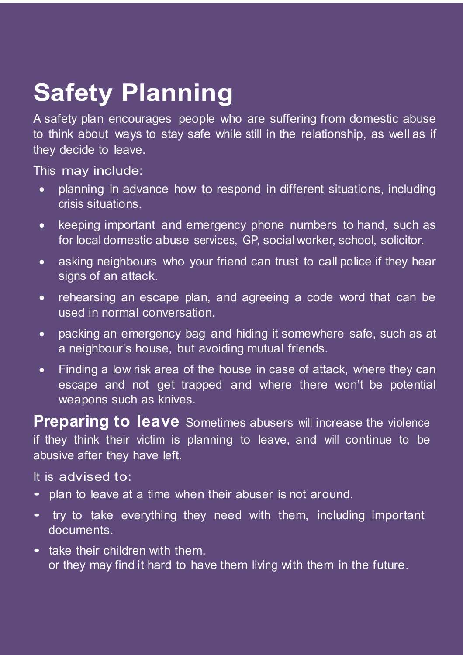## **Safety Planning**

A safety plan encourages people who are suffering from domestic abuse to think about ways to stay safe while still in the relationship, as well as if they decide to leave.

This may include:

- planning in advance how to respond in different situations, including crisis situations.
- keeping important and emergency phone numbers to hand, such as for local domestic abuse services, GP, social worker, school, solicitor.
- asking neighbours who your friend can trust to call police if they hear signs of an attack.
- rehearsing an escape plan, and agreeing a code word that can be used in normal conversation.
- packing an emergency bag and hiding it somewhere safe, such as at a neighbour's house, but avoiding mutual friends.
- Finding a low risk area of the house in case of attack, where they can escape and not get trapped and where there won't be potential weapons such as knives.

**Preparing to leave** Sometimes abusers will increase the violence if they think their victim is planning to leave, and will continue to be abusive after they have left.

It is advised to:

- plan to leave at a time when their abuser is not around.
- try to take everything they need with them, including important documents.
- take their children with them. or they may find it hard to have them living with them in the future.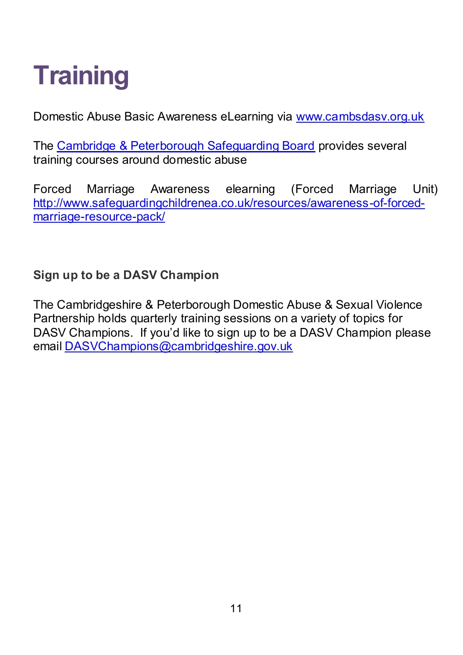# **Training**

Domestic Abuse Basic Awareness eLearning via [www.cambsdasv.org.uk](http://www.cambsdasv.org.uk/) 

The Cambridge & Peterborough Safeguarding Board provides several training courses around domestic abuse

Forced Marriage Awareness elearning (Forced Marriage Unit) [http://www.safeguardingchildrenea.co.uk/resources/awareness-of-forced](http://www.safeguardingchildrenea.co.uk/resources/awareness-of-forced-marriage-resource-pack/)[marriage-resource-pack/](http://www.safeguardingchildrenea.co.uk/resources/awareness-of-forced-marriage-resource-pack/) 

**Sign up to be a DASV Champion** 

The Cambridgeshire & Peterborough Domestic Abuse & Sexual Violence Partnership holds quarterly training sessions on a variety of topics for DASV Champions. If you'd like to sign up to be a DASV Champion please email [DASVChampions@cambridgeshire.gov.uk](mailto:DASVChampions@cambridgeshire.gov.uk)